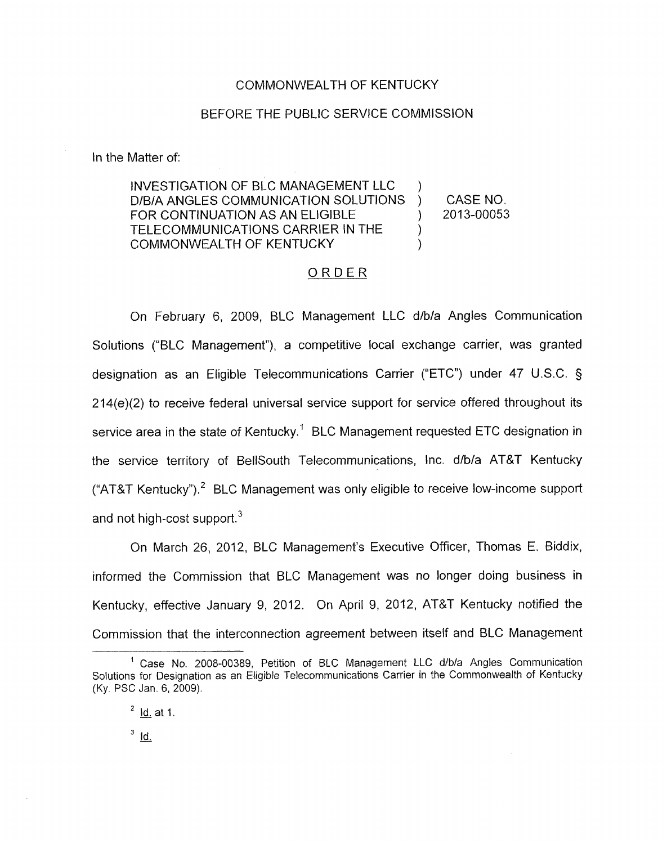### COMMONWEALTH OF KENTUCKY

### BEFORE THE PUBLIC SERVICE COMMISSION

In the Matter of:

INVESTIGATION OF BLC MANAGEMENT LLC D/B/A ANGLES COMMUNICATION SOLUTIONS ) CASE NO.<br>FOR CONTINUATION AS AN ELIGIBLE ) 2013-00053  $\overline{)}$ FOR CONTINUATION AS AN ELIGIBLE  $|$ TELECOMMUNICATIONS CARRIER IN THE ) COMMONWEALTH OF KENTUCKY )

## ORDER

On February 6, 2009, BLC Management LLC d/b/a Angles Communication Solutions ("BLC Management"), a competitive local exchange carrier, was granted designation as an Eligible Telecommunications Carrier ("ETC") under 47 U.S.C. § 214(e)(2) to receive federal universal service support for service offered throughout its service area in the state *of* Kentucky.' BLC Management requested ETC designation in the service territory of BellSouth Telecommunications, Inc. d/b/a AT&T Kentucky ("AT&T Kentucky").<sup>2</sup> BLC Management was only eligible to receive low-income support and not high-cost support. $3$ 

On March 26, 2012, BLC Management's Executive Officer, Thomas E. Biddix, informed the Commission that BLC Management was no longer doing business in Kentucky, effective January 9, 2012. On April 9, 2012, AT&T Kentucky notified the Commission that the interconnection agreement between itself and BLC Management

 $3$   $\overline{1}$ d.

Case No. 2008-00389, Petition of BLC Management **LLC** d/b/a Angles Communication **1**  Solutions for Designation as an Eligible Telecommunications Carrier in the Commonwealth *of* Kentucky (Ky. PSC Jan. 6, 2009).

<sup>&</sup>lt;sup>2</sup> <u>Id.</u> at 1. Jan. 6<br><u>Id.</u> at <u>ld.</u> at<br><u>Id.</u>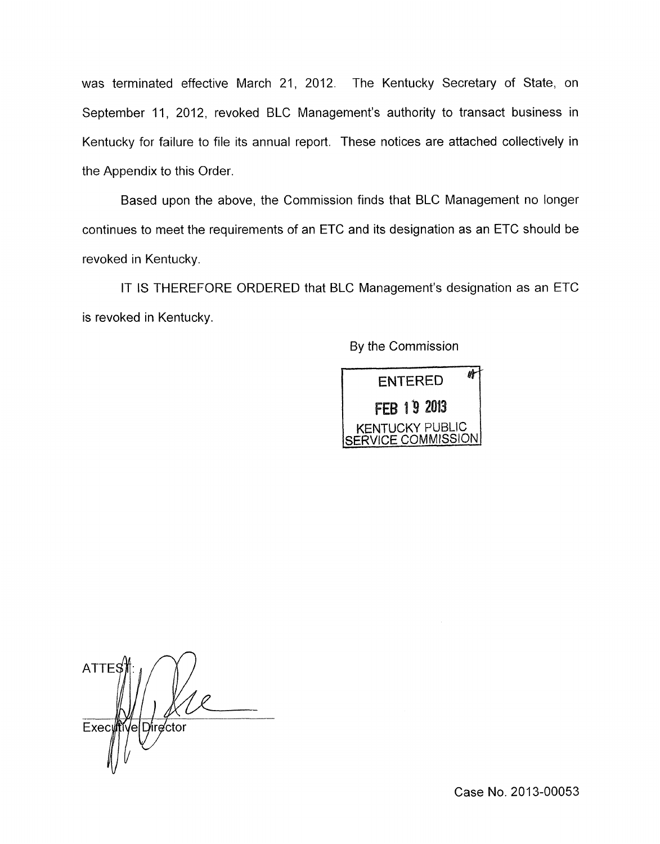was terminated effective March 21, 2012. The Kentucky Secretary of State, on September 11, 2012, revoked BLC Management's authority to transact business in Kentucky for failure to file its annual report. These notices are attached collectively in the Appendix to this Order.

Based upon the above, the Commission finds that BLC Management no longer continues to meet the requirements of an ETC and its designation as an ETC should be revoked in Kentucky.

IT IS THEREFORE ORDERED that BLC Management's designation as an ETC is revoked in Kentucky.

By the Commission



**ATTE** Exec Director Vei

Case No. 2013-00053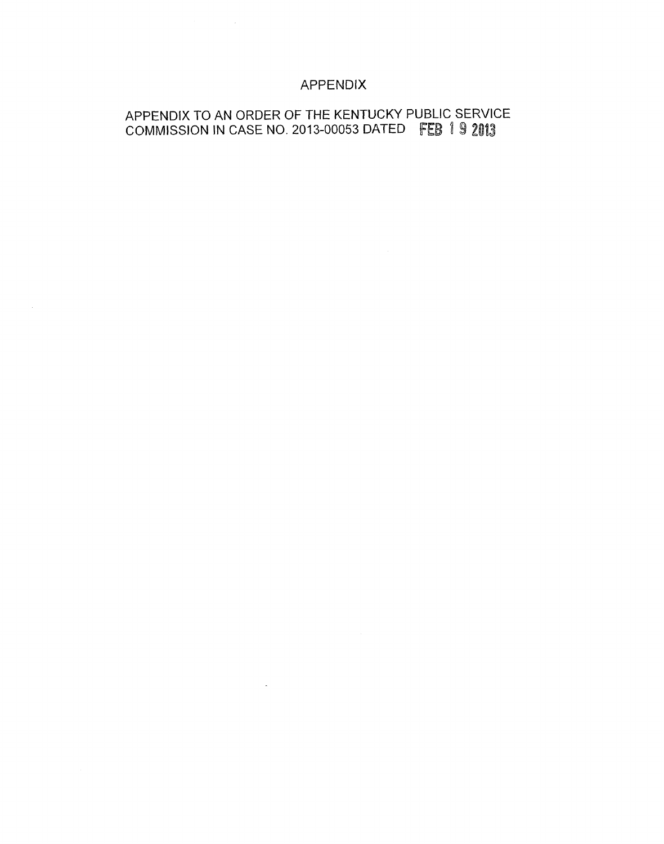# APPENDIX

# APPENDIX TO AN ORDER OF THE KENTUCKY PUBLIC SERVICE COMMISSION IN CASE NO. 2013-00053 DATED FEB 1 9 2013

 $\mathcal{L}^{\text{max}}_{\text{max}}$  and  $\mathcal{L}^{\text{max}}_{\text{max}}$ 

 $\mathcal{A}=\{x_1,\ldots,x_n\}$  .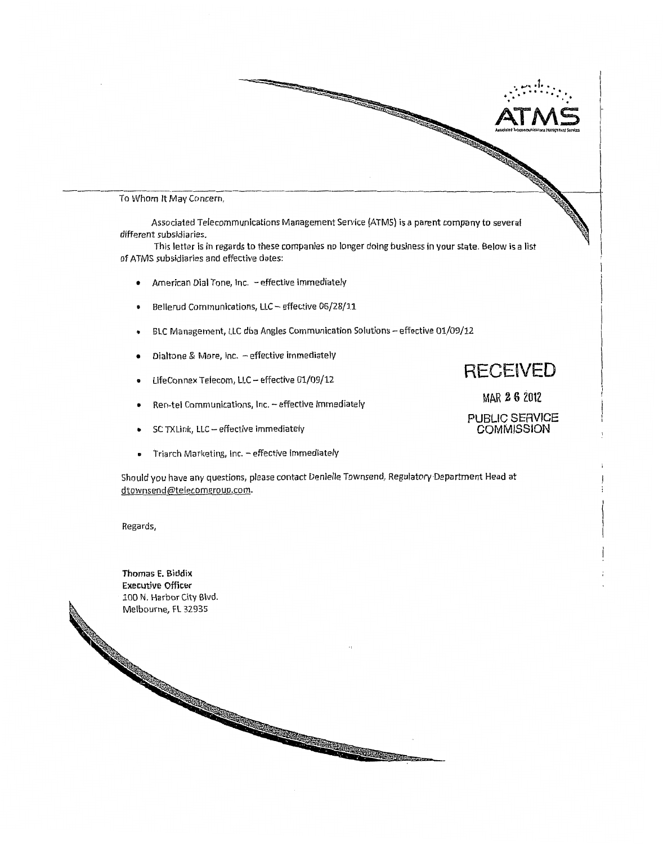

 $\overline{\phantom{a}}$ To Whom it May Concern,

Associated Telecommunications Management Service (ATMS) is a parent company to several different subsldiaries.

This letter is in regards to these companies no longer doing business in **your** state. Below is a list of ATMS subsidiaries and effective dates:

- American Dial Tone, Inc. -effective immediately  $\bullet$
- **e**  Bellerud Communlcations, LLC - effective 06/28/11
- $\bullet$ BLC Management, LLC dba Angles Communication Solutions - effective 01/09/12
- Dialtone & More, Inc. effective immediately  $\bullet$
- **<sup>e</sup>**LifeConnex Telecom, LLC- effective 01/09/12
- **•** Ren-tel Communications, Inc. effective immediately
- sc TXLink, LLC effective immediately  $\bullet$
- **FR** Triarch Marketing, Inc. effective immediately

Should you have any questions, please contact Denlelle Townsend, Regulatory Department Head at [dtownsend@telecomgroup.com.](mailto:dtownsend@telecomgroup.com)

Regards,

**Thomas E. Biddix Executive** Officer 100 N. Harbor City Blvd.<br>Melbourne, FL 32935 **RECEIVED** 

MAR **2 6** 2012

PUBLIC SERVICE **COMMISSION**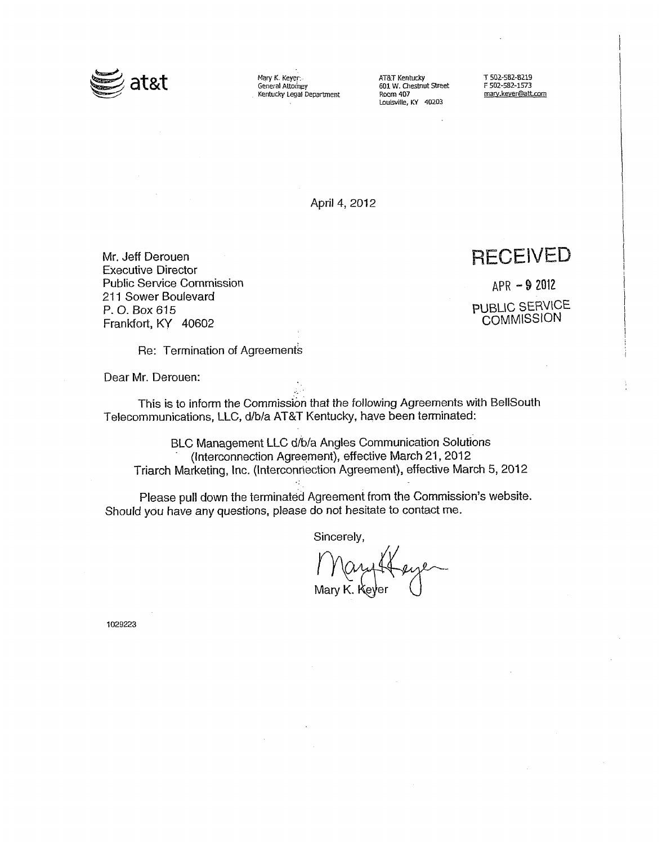

MaryK Keyer. *ATBT* Kentucky **T 502-582-8219**  General Attorney **601 W. Chmut** Sweet F **502-582-1573**  Kentucky **legal** Department Rwm **407 [my.kever\(iiatt.com](http://my.kever(iiatt.com)** 

Louisville, KY 40203

April 4, 2012

Mr. Jeff Derouen Executive Director Public Service Commission 211 Sower Boulevard P. 0. *Box* 615 Frankfort, KY 40602

**RECEIVED** 

APR **-9** 2092 PUBLIC SERVICE **COMMISSION** 

Re: Termination of Agreements

Dear Mr. Derouen:

This is to inform the Commission that the following Agreements with BellSouth Telecommunications, LLC, d/b/a AT&T Kentucky, have been terminated:

BLC Management LLC d/b/a Angles Communication Solutions .<br>(Interconnection Agreement), effective March 21, 2012 Triarch Marketing, Inc. (Interconnection Agreement), effective March 5, 2012

Please pull down the terminated Agreement from the Commission's website. Should you have any questions, please do not hesitate to contact me.

Sincerely,

Mary Heye

1029223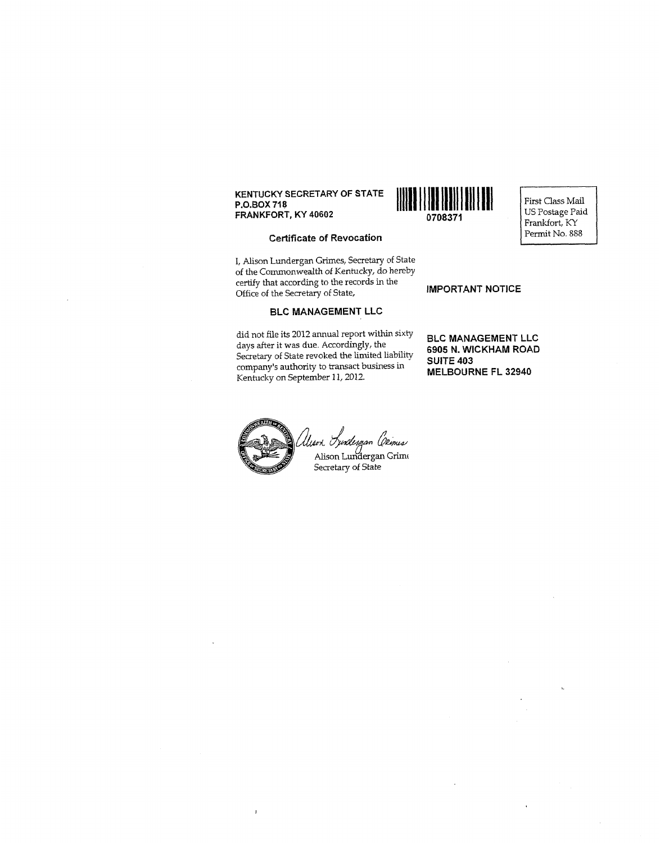## **KENTUCKY SECRETARY OF STATE P.O.BOX 71 8**



First Class Mail **FRANKFORT, KY 40602 FRANKFORT, KY 40602 DELAL BULLET IN THE USE OF PARTICIPITY OF PERTURISHING SEARCH PERTURISHING SEARCH PERTURISHING SEARCH PERTURISHING SEARCH PERTURISHING SEARCH PERTURISHING SEARCH PERTURISHING SE** 

#### **Certificate of Revocation**

I, Alison Lundergan Grimes, Secretary of State of the Commonwealth *of* Kentucky, do hereby certify that according to the records in the Office of the Secretary of State, **IMPORTANT NOTICE** 

#### **BLC MANAGEMENT LLC**

did not file its 2012 annual report within sixty days after it was due Accordingly, the Secretary of State revoked the limited liability company's authority to transact business in Kentucky on September 11,2012.

**BLC MANAGEMENT LLC 6905 N. WICKHAM ROAD SUITE 403** 

**MELBOURNE FL 32940** 



 $\mathbf{I}$